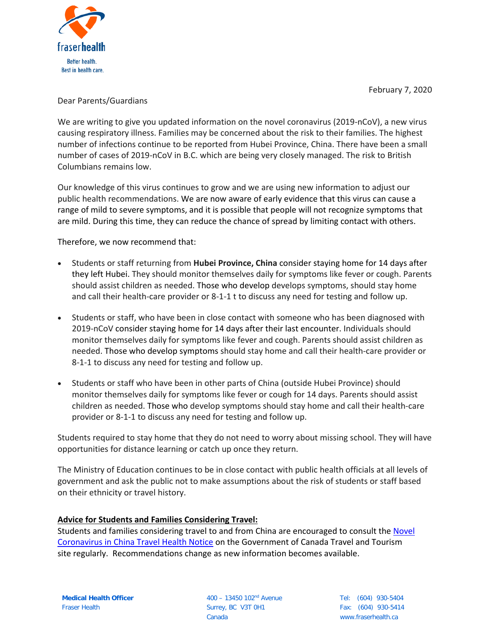

February 7, 2020

## Dear Parents/Guardians

We are writing to give you updated information on the novel coronavirus (2019-nCoV), a new virus causing respiratory illness. Families may be concerned about the risk to their families. The highest number of infections continue to be reported from Hubei Province, China. There have been a small number of cases of 2019-nCoV in B.C. which are being very closely managed. The risk to British Columbians remains low.

Our knowledge of this virus continues to grow and we are using new information to adjust our public health recommendations. We are now aware of early evidence that this virus can cause a range of mild to severe symptoms, and it is possible that people will not recognize symptoms that are mild. During this time, they can reduce the chance of spread by limiting contact with others.

Therefore, we now recommend that:

- Students or staff returning from **Hubei Province, China** consider staying home for 14 days after they left Hubei. They should monitor themselves daily for symptoms like fever or cough. Parents should assist children as needed. Those who develop develops symptoms, should stay home and call their health-care provider or 8-1-1 t to discuss any need for testing and follow up.
- Students or staff, who have been in close contact with someone who has been diagnosed with 2019-nCoV consider staying home for 14 days after their last encounter. Individuals should monitor themselves daily for symptoms like fever and cough. Parents should assist children as needed. Those who develop symptoms should stay home and call their health-care provider or 8-1-1 to discuss any need for testing and follow up.
- Students or staff who have been in other parts of China (outside Hubei Province) should monitor themselves daily for symptoms like fever or cough for 14 days. Parents should assist children as needed. Those who develop symptoms should stay home and call their health-care provider or 8-1-1 to discuss any need for testing and follow up.

Students required to stay home that they do not need to worry about missing school. They will have opportunities for distance learning or catch up once they return.

The Ministry of Education continues to be in close contact with public health officials at all levels of government and ask the public not to make assumptions about the risk of students or staff based on their ethnicity or travel history.

# **Advice for Students and Families Considering Travel:**

Students and families considering travel to and from China are encouraged to consult the [Novel](https://travel.gc.ca/travelling/health-safety/travel-health-notices/210)  [Coronavirus in China Travel Health Notice](https://travel.gc.ca/travelling/health-safety/travel-health-notices/210) on the Government of Canada Travel and Tourism site regularly. Recommendations change as new information becomes available.

400 – 13450 102nd Avenue Surrey, BC V3T 0H1 Canada